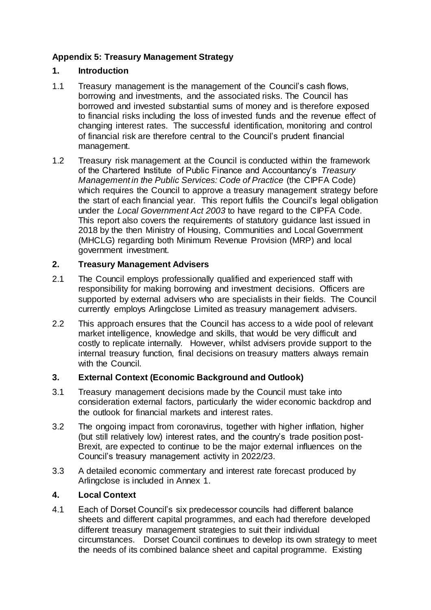# **Appendix 5: Treasury Management Strategy**

### **1. Introduction**

- 1.1 Treasury management is the management of the Council's cash flows, borrowing and investments, and the associated risks. The Council has borrowed and invested substantial sums of money and is therefore exposed to financial risks including the loss of invested funds and the revenue effect of changing interest rates. The successful identification, monitoring and control of financial risk are therefore central to the Council's prudent financial management.
- 1.2 Treasury risk management at the Council is conducted within the framework of the Chartered Institute of Public Finance and Accountancy's *Treasury Management in the Public Services: Code of Practice* (the CIPFA Code) which requires the Council to approve a treasury management strategy before the start of each financial year. This report fulfils the Council's legal obligation under the *Local Government Act 2003* to have regard to the CIPFA Code. This report also covers the requirements of statutory guidance last issued in 2018 by the then Ministry of Housing, Communities and Local Government (MHCLG) regarding both Minimum Revenue Provision (MRP) and local government investment.

### **2. Treasury Management Advisers**

- 2.1 The Council employs professionally qualified and experienced staff with responsibility for making borrowing and investment decisions. Officers are supported by external advisers who are specialists in their fields. The Council currently employs Arlingclose Limited as treasury management advisers.
- 2.2 This approach ensures that the Council has access to a wide pool of relevant market intelligence, knowledge and skills, that would be very difficult and costly to replicate internally. However, whilst advisers provide support to the internal treasury function, final decisions on treasury matters always remain with the Council.

# **3. External Context (Economic Background and Outlook)**

- 3.1 Treasury management decisions made by the Council must take into consideration external factors, particularly the wider economic backdrop and the outlook for financial markets and interest rates.
- 3.2 The ongoing impact from coronavirus, together with higher inflation, higher (but still relatively low) interest rates, and the country's trade position post-Brexit, are expected to continue to be the major external influences on the Council's treasury management activity in 2022/23.
- 3.3 A detailed economic commentary and interest rate forecast produced by Arlingclose is included in Annex 1.

#### **4. Local Context**

4.1 Each of Dorset Council's six predecessor councils had different balance sheets and different capital programmes, and each had therefore developed different treasury management strategies to suit their individual circumstances. Dorset Council continues to develop its own strategy to meet the needs of its combined balance sheet and capital programme. Existing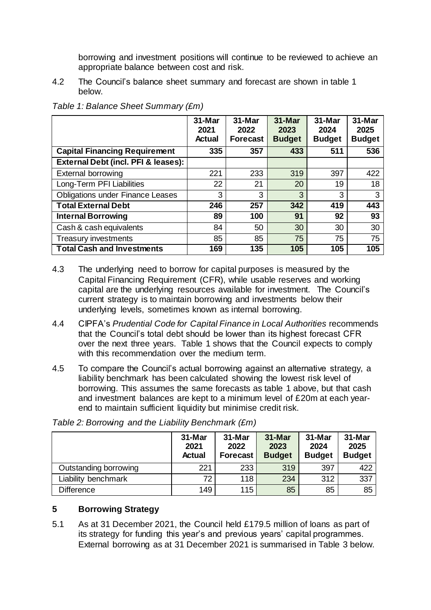borrowing and investment positions will continue to be reviewed to achieve an appropriate balance between cost and risk.

4.2 The Council's balance sheet summary and forecast are shown in table 1 below.

|                                         | $31-Mar$<br>2021<br><b>Actual</b> | $31-Mar$<br>2022<br><b>Forecast</b> | 31-Mar<br>2023<br><b>Budget</b> | 31-Mar<br>2024<br><b>Budget</b> | 31-Mar<br>2025<br><b>Budget</b> |
|-----------------------------------------|-----------------------------------|-------------------------------------|---------------------------------|---------------------------------|---------------------------------|
| <b>Capital Financing Requirement</b>    | 335                               | 357                                 | 433                             | 511                             | 536                             |
| External Debt (incl. PFI & leases):     |                                   |                                     |                                 |                                 |                                 |
| <b>External borrowing</b>               | 221                               | 233                                 | 319                             | 397                             | 422                             |
| Long-Term PFI Liabilities               | 22                                | 21                                  | 20                              | 19                              | 18                              |
| <b>Obligations under Finance Leases</b> | 3                                 | 3                                   | 3                               | 3                               | 3                               |
| <b>Total External Debt</b>              | 246                               | 257                                 | 342                             | 419                             | 443                             |
| <b>Internal Borrowing</b>               | 89                                | 100                                 | 91                              | 92                              | 93                              |
| Cash & cash equivalents                 | 84                                | 50                                  | 30                              | 30                              | 30                              |
| Treasury investments                    | 85                                | 85                                  | 75                              | 75                              | 75                              |
| <b>Total Cash and Investments</b>       | 169                               | 135                                 | 105                             | 105                             | 105                             |

*Table 1: Balance Sheet Summary (£m)*

- 4.3 The underlying need to borrow for capital purposes is measured by the Capital Financing Requirement (CFR), while usable reserves and working capital are the underlying resources available for investment. The Council's current strategy is to maintain borrowing and investments below their underlying levels, sometimes known as internal borrowing.
- 4.4 CIPFA's *Prudential Code for Capital Finance in Local Authorities* recommends that the Council's total debt should be lower than its highest forecast CFR over the next three years. Table 1 shows that the Council expects to comply with this recommendation over the medium term.
- 4.5 To compare the Council's actual borrowing against an alternative strategy, a liability benchmark has been calculated showing the lowest risk level of borrowing. This assumes the same forecasts as table 1 above, but that cash and investment balances are kept to a minimum level of £20m at each yearend to maintain sufficient liquidity but minimise credit risk.

|                       | 31-Mar<br>2021<br><b>Actual</b> | 31-Mar<br>2022<br><b>Forecast</b> | 31-Mar<br>2023<br><b>Budget</b> | 31-Mar<br>2024<br><b>Budget</b> | 31-Mar<br>2025<br><b>Budget</b> |
|-----------------------|---------------------------------|-----------------------------------|---------------------------------|---------------------------------|---------------------------------|
| Outstanding borrowing | 221                             | 233                               | 319                             | 397                             | 422                             |
| Liability benchmark   | 72                              | 118                               | 234                             | 312                             | 337                             |
| <b>Difference</b>     | 149                             | 115                               | 85                              | 85                              | 85                              |

*Table 2: Borrowing and the Liability Benchmark (£m)*

# **5 Borrowing Strategy**

5.1 As at 31 December 2021, the Council held £179.5 million of loans as part of its strategy for funding this year's and previous years' capital programmes. External borrowing as at 31 December 2021 is summarised in Table 3 below.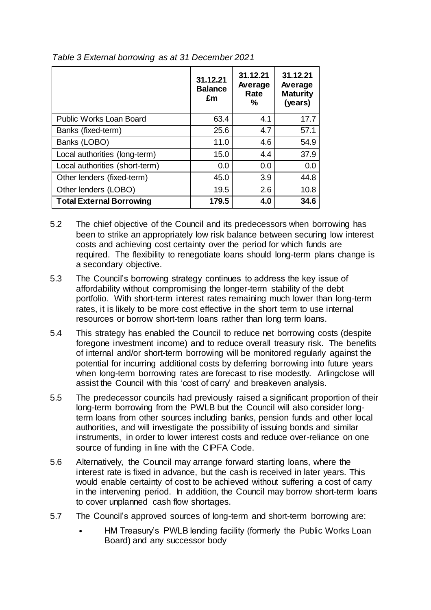|                                 | 31.12.21<br><b>Balance</b><br>£m | 31.12.21<br>Average<br>Rate<br>℅ | 31.12.21<br>Average<br><b>Maturity</b><br>(years) |
|---------------------------------|----------------------------------|----------------------------------|---------------------------------------------------|
| Public Works Loan Board         | 63.4                             | 4.1                              | 17.7                                              |
| Banks (fixed-term)              | 25.6                             | 4.7                              | 57.1                                              |
| Banks (LOBO)                    | 11.0                             | 4.6                              | 54.9                                              |
| Local authorities (long-term)   | 15.0                             | 4.4                              | 37.9                                              |
| Local authorities (short-term)  | 0.0                              | 0.0                              | 0.0                                               |
| Other lenders (fixed-term)      | 45.0                             | 3.9                              | 44.8                                              |
| Other lenders (LOBO)            | 19.5                             | 2.6                              | 10.8                                              |
| <b>Total External Borrowing</b> | 179.5                            | 4.0                              | 34.6                                              |

*Table 3 External borrowing as at 31 December 2021*

- 5.2 The chief objective of the Council and its predecessors when borrowing has been to strike an appropriately low risk balance between securing low interest costs and achieving cost certainty over the period for which funds are required. The flexibility to renegotiate loans should long-term plans change is a secondary objective.
- 5.3 The Council's borrowing strategy continues to address the key issue of affordability without compromising the longer-term stability of the debt portfolio. With short-term interest rates remaining much lower than long-term rates, it is likely to be more cost effective in the short term to use internal resources or borrow short-term loans rather than long term loans.
- 5.4 This strategy has enabled the Council to reduce net borrowing costs (despite foregone investment income) and to reduce overall treasury risk. The benefits of internal and/or short-term borrowing will be monitored regularly against the potential for incurring additional costs by deferring borrowing into future years when long-term borrowing rates are forecast to rise modestly. Arlingclose will assist the Council with this 'cost of carry' and breakeven analysis.
- 5.5 The predecessor councils had previously raised a significant proportion of their long-term borrowing from the PWLB but the Council will also consider longterm loans from other sources including banks, pension funds and other local authorities, and will investigate the possibility of issuing bonds and similar instruments, in order to lower interest costs and reduce over-reliance on one source of funding in line with the CIPFA Code.
- 5.6 Alternatively, the Council may arrange forward starting loans, where the interest rate is fixed in advance, but the cash is received in later years. This would enable certainty of cost to be achieved without suffering a cost of carry in the intervening period. In addition, the Council may borrow short-term loans to cover unplanned cash flow shortages.
- 5.7 The Council's approved sources of long-term and short-term borrowing are:
	- HM Treasury's PWLB lending facility (formerly the Public Works Loan Board) and any successor body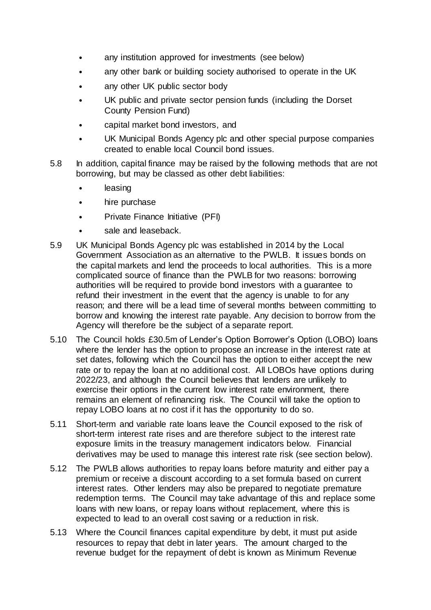- any institution approved for investments (see below)
- any other bank or building society authorised to operate in the UK
- any other UK public sector body
- UK public and private sector pension funds (including the Dorset County Pension Fund)
- capital market bond investors, and
- UK Municipal Bonds Agency plc and other special purpose companies created to enable local Council bond issues.
- 5.8 In addition, capital finance may be raised by the following methods that are not borrowing, but may be classed as other debt liabilities:
	- **leasing**
	- hire purchase
	- Private Finance Initiative (PFI)
	- sale and leaseback.
- 5.9 UK Municipal Bonds Agency plc was established in 2014 by the Local Government Association as an alternative to the PWLB. It issues bonds on the capital markets and lend the proceeds to local authorities. This is a more complicated source of finance than the PWLB for two reasons: borrowing authorities will be required to provide bond investors with a guarantee to refund their investment in the event that the agency is unable to for any reason; and there will be a lead time of several months between committing to borrow and knowing the interest rate payable. Any decision to borrow from the Agency will therefore be the subject of a separate report.
- 5.10 The Council holds £30.5m of Lender's Option Borrower's Option (LOBO) loans where the lender has the option to propose an increase in the interest rate at set dates, following which the Council has the option to either accept the new rate or to repay the loan at no additional cost. All LOBOs have options during 2022/23, and although the Council believes that lenders are unlikely to exercise their options in the current low interest rate environment, there remains an element of refinancing risk. The Council will take the option to repay LOBO loans at no cost if it has the opportunity to do so.
- 5.11 Short-term and variable rate loans leave the Council exposed to the risk of short-term interest rate rises and are therefore subject to the interest rate exposure limits in the treasury management indicators below. Financial derivatives may be used to manage this interest rate risk (see section below).
- 5.12 The PWLB allows authorities to repay loans before maturity and either pay a premium or receive a discount according to a set formula based on current interest rates. Other lenders may also be prepared to negotiate premature redemption terms. The Council may take advantage of this and replace some loans with new loans, or repay loans without replacement, where this is expected to lead to an overall cost saving or a reduction in risk.
- 5.13 Where the Council finances capital expenditure by debt, it must put aside resources to repay that debt in later years. The amount charged to the revenue budget for the repayment of debt is known as Minimum Revenue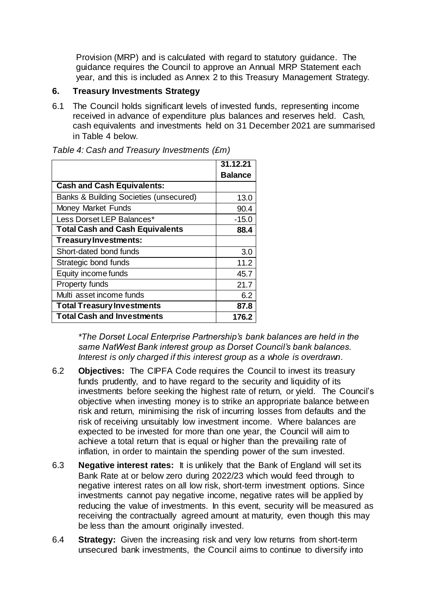Provision (MRP) and is calculated with regard to statutory guidance. The guidance requires the Council to approve an Annual MRP Statement each year, and this is included as Annex 2 to this Treasury Management Strategy.

#### **6. Treasury Investments Strategy**

6.1 The Council holds significant levels of invested funds, representing income received in advance of expenditure plus balances and reserves held. Cash, cash equivalents and investments held on 31 December 2021 are summarised in Table 4 below.

|                                        | 31.12.21 |
|----------------------------------------|----------|
|                                        | Balance  |
| <b>Cash and Cash Equivalents:</b>      |          |
| Banks & Building Societies (unsecured) | 13.0     |
| <b>Money Market Funds</b>              | 90.4     |
| Less Dorset LEP Balances*              | $-15.0$  |
| <b>Total Cash and Cash Equivalents</b> | 88.4     |
| Treasury Investments:                  |          |
| Short-dated bond funds                 | 3.0      |
| Strategic bond funds                   | 11.2     |
| Equity income funds                    | 45.7     |
| Property funds                         | 21.7     |
| Multi asset income funds               | 6.2      |
| <b>Total Treasury Investments</b>      | 87.8     |
| <b>Total Cash and Investments</b>      | 176.2    |

*Table 4: Cash and Treasury Investments (£m)*

*\*The Dorset Local Enterprise Partnership's bank balances are held in the same NatWest Bank interest group as Dorset Council's bank balances. Interest is only charged if this interest group as a whole is overdrawn.*

- 6.2 **Objectives:** The CIPFA Code requires the Council to invest its treasury funds prudently, and to have regard to the security and liquidity of its investments before seeking the highest rate of return, or yield. The Council's objective when investing money is to strike an appropriate balance between risk and return, minimising the risk of incurring losses from defaults and the risk of receiving unsuitably low investment income. Where balances are expected to be invested for more than one year, the Council will aim to achieve a total return that is equal or higher than the prevailing rate of inflation, in order to maintain the spending power of the sum invested.
- 6.3 **Negative interest rates:** It is unlikely that the Bank of England will set its Bank Rate at or below zero during 2022/23 which would feed through to negative interest rates on all low risk, short-term investment options. Since investments cannot pay negative income, negative rates will be applied by reducing the value of investments. In this event, security will be measured as receiving the contractually agreed amount at maturity, even though this may be less than the amount originally invested.
- 6.4 **Strategy:** Given the increasing risk and very low returns from short-term unsecured bank investments, the Council aims to continue to diversify into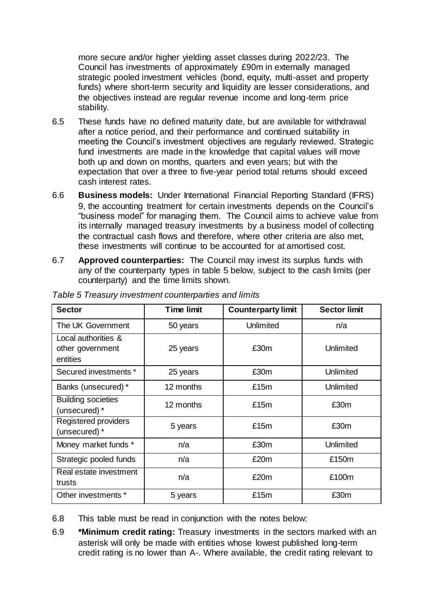more secure and/or higher yielding asset classes during 2022/23. The Council has investments of approximately £90m in externally managed strategic pooled investment vehicles (bond, equity, multi-asset and property funds) where short-term security and liquidity are lesser considerations, and the objectives instead are regular revenue income and long-term price stability.

- 6.5 These funds have no defined maturity date, but are available for withdrawal after a notice period, and their performance and continued suitability in meeting the Council's investment objectives are regularly reviewed. Strategic fund investments are made in the knowledge that capital values will move both up and down on months, quarters and even years; but with the expectation that over a three to five-year period total returns should exceed cash interest rates.
- 6.6 **Business models:** Under International Financial Reporting Standard (IFRS) 9, the accounting treatment for certain investments depends on the Council's "business model" for managing them. The Council aims to achieve value from its internally managed treasury investments by a business model of collecting the contractual cash flows and therefore, where other criteria are also met, these investments will continue to be accounted for at amortised cost.
- 6.7 **Approved counterparties:** The Council may invest its surplus funds with any of the counterparty types in table 5 below, subject to the cash limits (per counterparty) and the time limits shown.

| <b>Sector</b>                                       | <b>Time limit</b> | <b>Counterparty limit</b> | <b>Sector limit</b> |
|-----------------------------------------------------|-------------------|---------------------------|---------------------|
| The UK Government                                   | 50 years          | Unlimited                 | n/a                 |
| Local authorities &<br>other government<br>entities | 25 years          | £30m                      | Unlimited           |
| Secured investments *                               | 25 years          | £30m                      | Unlimited           |
| Banks (unsecured) *                                 | 12 months         | £15m                      | Unlimited           |
| <b>Building societies</b><br>(unsecured) *          | 12 months         | £15m                      | £30m                |
| Registered providers<br>(unsecured) *               | 5 years           | £15m                      | £30m                |
| Money market funds *                                | n/a               | £30m                      | Unlimited           |
| Strategic pooled funds                              | n/a               | £20m                      | £150m               |
| Real estate investment<br>trusts                    | n/a               | £20m                      | £100m               |
| Other investments *                                 | 5 years           | £15m                      | £30m                |

*Table 5 Treasury investment counterparties and limits*

- 6.8 This table must be read in conjunction with the notes below:
- 6.9 **\*Minimum credit rating:** Treasury investments in the sectors marked with an asterisk will only be made with entities whose lowest published long-term credit rating is no lower than A-. Where available, the credit rating relevant to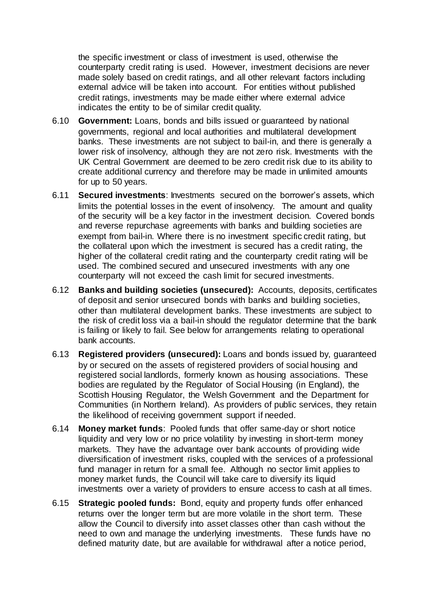the specific investment or class of investment is used, otherwise the counterparty credit rating is used. However, investment decisions are never made solely based on credit ratings, and all other relevant factors including external advice will be taken into account. For entities without published credit ratings, investments may be made either where external advice indicates the entity to be of similar credit quality.

- 6.10 **Government:** Loans, bonds and bills issued or guaranteed by national governments, regional and local authorities and multilateral development banks. These investments are not subject to bail-in, and there is generally a lower risk of insolvency, although they are not zero risk. Investments with the UK Central Government are deemed to be zero credit risk due to its ability to create additional currency and therefore may be made in unlimited amounts for up to 50 years.
- 6.11 **Secured investments**: Investments secured on the borrower's assets, which limits the potential losses in the event of insolvency. The amount and quality of the security will be a key factor in the investment decision. Covered bonds and reverse repurchase agreements with banks and building societies are exempt from bail-in. Where there is no investment specific credit rating, but the collateral upon which the investment is secured has a credit rating, the higher of the collateral credit rating and the counterparty credit rating will be used. The combined secured and unsecured investments with any one counterparty will not exceed the cash limit for secured investments.
- 6.12 **Banks and building societies (unsecured):** Accounts, deposits, certificates of deposit and senior unsecured bonds with banks and building societies, other than multilateral development banks. These investments are subject to the risk of credit loss via a bail-in should the regulator determine that the bank is failing or likely to fail. See below for arrangements relating to operational bank accounts.
- 6.13 **Registered providers (unsecured):** Loans and bonds issued by, guaranteed by or secured on the assets of registered providers of social housing and registered social landlords, formerly known as housing associations. These bodies are regulated by the Regulator of Social Housing (in England), the Scottish Housing Regulator, the Welsh Government and the Department for Communities (in Northern Ireland). As providers of public services, they retain the likelihood of receiving government support if needed.
- 6.14 **Money market funds**: Pooled funds that offer same-day or short notice liquidity and very low or no price volatility by investing in short-term money markets. They have the advantage over bank accounts of providing wide diversification of investment risks, coupled with the services of a professional fund manager in return for a small fee. Although no sector limit applies to money market funds, the Council will take care to diversify its liquid investments over a variety of providers to ensure access to cash at all times.
- 6.15 **Strategic pooled funds:** Bond, equity and property funds offer enhanced returns over the longer term but are more volatile in the short term. These allow the Council to diversify into asset classes other than cash without the need to own and manage the underlying investments. These funds have no defined maturity date, but are available for withdrawal after a notice period,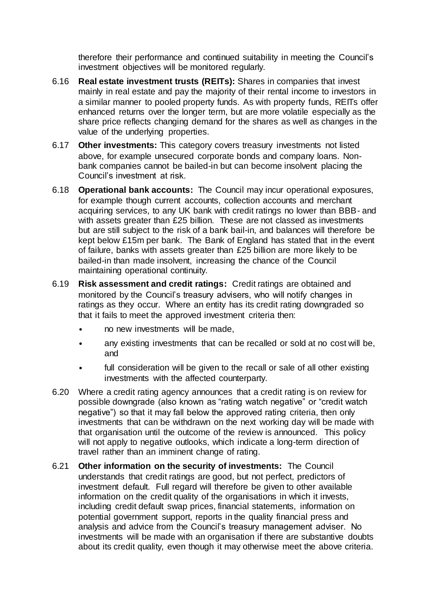therefore their performance and continued suitability in meeting the Council's investment objectives will be monitored regularly.

- 6.16 **Real estate investment trusts (REITs):** Shares in companies that invest mainly in real estate and pay the majority of their rental income to investors in a similar manner to pooled property funds. As with property funds, REITs offer enhanced returns over the longer term, but are more volatile especially as the share price reflects changing demand for the shares as well as changes in the value of the underlying properties.
- 6.17 **Other investments:** This category covers treasury investments not listed above, for example unsecured corporate bonds and company loans. Nonbank companies cannot be bailed-in but can become insolvent placing the Council's investment at risk.
- 6.18 **Operational bank accounts:** The Council may incur operational exposures, for example though current accounts, collection accounts and merchant acquiring services, to any UK bank with credit ratings no lower than BBB- and with assets greater than £25 billion. These are not classed as investments but are still subject to the risk of a bank bail-in, and balances will therefore be kept below £15m per bank. The Bank of England has stated that in the event of failure, banks with assets greater than £25 billion are more likely to be bailed-in than made insolvent, increasing the chance of the Council maintaining operational continuity.
- 6.19 **Risk assessment and credit ratings:** Credit ratings are obtained and monitored by the Council's treasury advisers, who will notify changes in ratings as they occur. Where an entity has its credit rating downgraded so that it fails to meet the approved investment criteria then:
	- no new investments will be made,
	- any existing investments that can be recalled or sold at no cost will be, and
	- full consideration will be given to the recall or sale of all other existing investments with the affected counterparty.
- 6.20 Where a credit rating agency announces that a credit rating is on review for possible downgrade (also known as "rating watch negative" or "credit watch negative") so that it may fall below the approved rating criteria, then only investments that can be withdrawn on the next working day will be made with that organisation until the outcome of the review is announced. This policy will not apply to negative outlooks, which indicate a long-term direction of travel rather than an imminent change of rating.
- 6.21 **Other information on the security of investments:** The Council understands that credit ratings are good, but not perfect, predictors of investment default. Full regard will therefore be given to other available information on the credit quality of the organisations in which it invests, including credit default swap prices, financial statements, information on potential government support, reports in the quality financial press and analysis and advice from the Council's treasury management adviser. No investments will be made with an organisation if there are substantive doubts about its credit quality, even though it may otherwise meet the above criteria.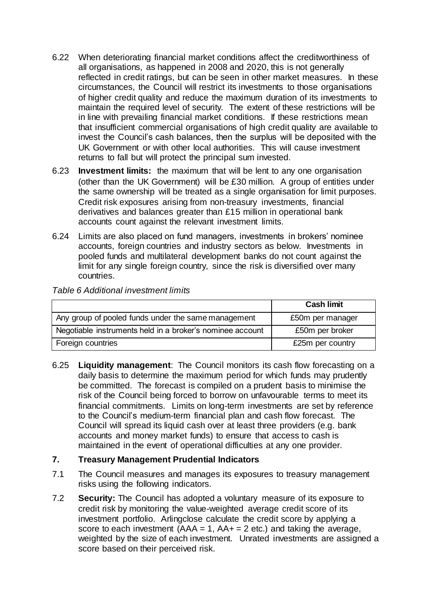- 6.22 When deteriorating financial market conditions affect the creditworthiness of all organisations, as happened in 2008 and 2020, this is not generally reflected in credit ratings, but can be seen in other market measures. In these circumstances, the Council will restrict its investments to those organisations of higher credit quality and reduce the maximum duration of its investments to maintain the required level of security. The extent of these restrictions will be in line with prevailing financial market conditions. If these restrictions mean that insufficient commercial organisations of high credit quality are available to invest the Council's cash balances, then the surplus will be deposited with the UK Government or with other local authorities. This will cause investment returns to fall but will protect the principal sum invested.
- 6.23 **Investment limits:** the maximum that will be lent to any one organisation (other than the UK Government) will be £30 million. A group of entities under the same ownership will be treated as a single organisation for limit purposes. Credit risk exposures arising from non-treasury investments, financial derivatives and balances greater than £15 million in operational bank accounts count against the relevant investment limits.
- 6.24 Limits are also placed on fund managers, investments in brokers' nominee accounts, foreign countries and industry sectors as below. Investments in pooled funds and multilateral development banks do not count against the limit for any single foreign country, since the risk is diversified over many countries.

| Table 6 Additional investment limits |  |
|--------------------------------------|--|
|--------------------------------------|--|

|                                                           | <b>Cash limit</b> |
|-----------------------------------------------------------|-------------------|
| Any group of pooled funds under the same management       | £50m per manager  |
| Negotiable instruments held in a broker's nominee account | £50m per broker   |
| Foreign countries                                         | £25m per country  |

6.25 **Liquidity management**: The Council monitors its cash flow forecasting on a daily basis to determine the maximum period for which funds may prudently be committed. The forecast is compiled on a prudent basis to minimise the risk of the Council being forced to borrow on unfavourable terms to meet its financial commitments. Limits on long-term investments are set by reference to the Council's medium-term financial plan and cash flow forecast. The Council will spread its liquid cash over at least three providers (e.g. bank accounts and money market funds) to ensure that access to cash is maintained in the event of operational difficulties at any one provider.

#### **7. Treasury Management Prudential Indicators**

- 7.1 The Council measures and manages its exposures to treasury management risks using the following indicators.
- 7.2 **Security:** The Council has adopted a voluntary measure of its exposure to credit risk by monitoring the value-weighted average credit score of its investment portfolio. Arlingclose calculate the credit score by applying a score to each investment  $(AAA = 1, AA + 2$  etc.) and taking the average, weighted by the size of each investment. Unrated investments are assigned a score based on their perceived risk.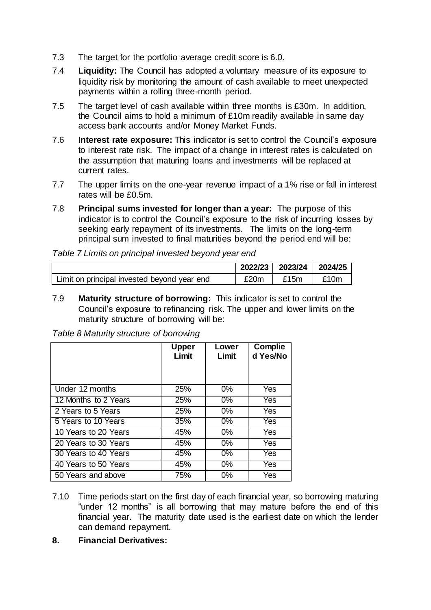- 7.3 The target for the portfolio average credit score is 6.0.
- 7.4 **Liquidity:** The Council has adopted a voluntary measure of its exposure to liquidity risk by monitoring the amount of cash available to meet unexpected payments within a rolling three-month period.
- 7.5 The target level of cash available within three months is £30m. In addition, the Council aims to hold a minimum of £10m readily available in same day access bank accounts and/or Money Market Funds.
- 7.6 **Interest rate exposure:** This indicator is set to control the Council's exposure to interest rate risk. The impact of a change in interest rates is calculated on the assumption that maturing loans and investments will be replaced at current rates.
- 7.7 The upper limits on the one-year revenue impact of a 1% rise or fall in interest rates will be £0.5m.
- 7.8 **Principal sums invested for longer than a year:** The purpose of this indicator is to control the Council's exposure to the risk of incurring losses by seeking early repayment of its investments. The limits on the long-term principal sum invested to final maturities beyond the period end will be:

|                                             | 2022/23 | 2023/24 2024/25 |      |
|---------------------------------------------|---------|-----------------|------|
| Limit on principal invested beyond year end | £20m    | £15m            | £10m |

7.9 **Maturity structure of borrowing:** This indicator is set to control the Council's exposure to refinancing risk. The upper and lower limits on the maturity structure of borrowing will be:

*Table 8 Maturity structure of borrowing*

|                      | <b>Upper</b><br>Limit | Lower<br>Limit | Complie<br>d Yes/No |
|----------------------|-----------------------|----------------|---------------------|
| Under 12 months      | 25%                   | $0\%$          | Yes                 |
| 12 Months to 2 Years |                       | $0\%$          |                     |
|                      | 25%                   |                | Yes                 |
| 2 Years to 5 Years   | 25%                   | $0\%$          | Yes                 |
| 5 Years to 10 Years  | 35%                   | $0\%$          | Yes                 |
| 10 Years to 20 Years | 45%                   | 0%             | Yes                 |
| 20 Years to 30 Years | 45%                   | $0\%$          | Yes                 |
| 30 Years to 40 Years | 45%                   | $0\%$          | Yes                 |
| 40 Years to 50 Years | 45%                   | $0\%$          | Yes                 |
| 50 Years and above   | 75%                   | $0\%$          | Yes                 |

- 7.10 Time periods start on the first day of each financial year, so borrowing maturing "under 12 months" is all borrowing that may mature before the end of this financial year. The maturity date used is the earliest date on which the lender can demand repayment.
- **8. Financial Derivatives:**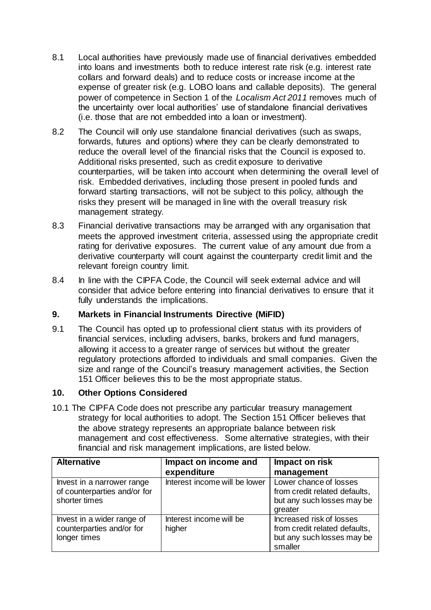- 8.1 Local authorities have previously made use of financial derivatives embedded into loans and investments both to reduce interest rate risk (e.g. interest rate collars and forward deals) and to reduce costs or increase income at the expense of greater risk (e.g. LOBO loans and callable deposits). The general power of competence in Section 1 of the *Localism Act 2011* removes much of the uncertainty over local authorities' use of standalone financial derivatives (i.e. those that are not embedded into a loan or investment).
- 8.2 The Council will only use standalone financial derivatives (such as swaps, forwards, futures and options) where they can be clearly demonstrated to reduce the overall level of the financial risks that the Council is exposed to. Additional risks presented, such as credit exposure to derivative counterparties, will be taken into account when determining the overall level of risk. Embedded derivatives, including those present in pooled funds and forward starting transactions, will not be subject to this policy, although the risks they present will be managed in line with the overall treasury risk management strategy.
- 8.3 Financial derivative transactions may be arranged with any organisation that meets the approved investment criteria, assessed using the appropriate credit rating for derivative exposures. The current value of any amount due from a derivative counterparty will count against the counterparty credit limit and the relevant foreign country limit.
- 8.4 In line with the CIPFA Code, the Council will seek external advice and will consider that advice before entering into financial derivatives to ensure that it fully understands the implications.

#### **9. Markets in Financial Instruments Directive (MiFID)**

9.1 The Council has opted up to professional client status with its providers of financial services, including advisers, banks, brokers and fund managers, allowing it access to a greater range of services but without the greater regulatory protections afforded to individuals and small companies. Given the size and range of the Council's treasury management activities, the Section 151 Officer believes this to be the most appropriate status.

# **10. Other Options Considered**

10.1 The CIPFA Code does not prescribe any particular treasury management strategy for local authorities to adopt. The Section 151 Officer believes that the above strategy represents an appropriate balance between risk management and cost effectiveness. Some alternative strategies, with their financial and risk management implications, are listed below.

| <b>Alternative</b>                                                          | Impact on income and              | Impact on risk                                                                                     |
|-----------------------------------------------------------------------------|-----------------------------------|----------------------------------------------------------------------------------------------------|
|                                                                             | expenditure                       | management                                                                                         |
| Invest in a narrower range<br>of counterparties and/or for<br>shorter times | Interest income will be lower     | Lower chance of losses<br>from credit related defaults,<br>but any such losses may be<br>greater   |
| Invest in a wider range of<br>counterparties and/or for<br>longer times     | Interest income will be<br>higher | Increased risk of losses<br>from credit related defaults,<br>but any such losses may be<br>smaller |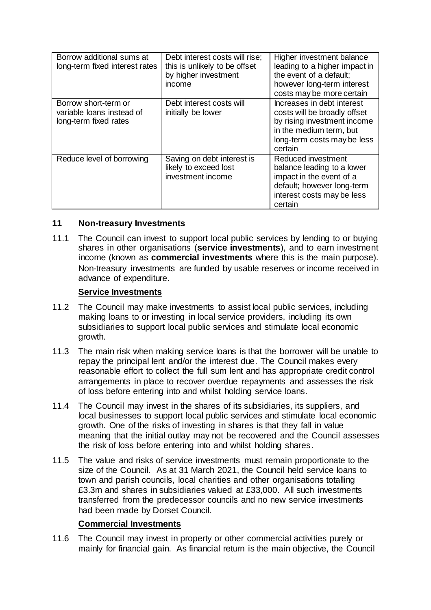| Borrow additional sums at<br>long-term fixed interest rates                | Debt interest costs will rise;<br>this is unlikely to be offset<br>by higher investment<br>income | Higher investment balance<br>leading to a higher impact in<br>the event of a default:<br>however long-term interest<br>costs may be more certain               |
|----------------------------------------------------------------------------|---------------------------------------------------------------------------------------------------|----------------------------------------------------------------------------------------------------------------------------------------------------------------|
| Borrow short-term or<br>variable loans instead of<br>long-term fixed rates | Debt interest costs will<br>initially be lower                                                    | Increases in debt interest<br>costs will be broadly offset<br>by rising investment income<br>in the medium term, but<br>long-term costs may be less<br>certain |
| Reduce level of borrowing                                                  | Saving on debt interest is<br>likely to exceed lost<br>investment income                          | Reduced investment<br>balance leading to a lower<br>impact in the event of a<br>default; however long-term<br>interest costs may be less<br>certain            |

#### **11 Non-treasury Investments**

11.1 The Council can invest to support local public services by lending to or buying shares in other organisations (**service investments**), and to earn investment income (known as **commercial investments** where this is the main purpose). Non-treasury investments are funded by usable reserves or income received in advance of expenditure.

### **Service Investments**

- 11.2 The Council may make investments to assist local public services, including making loans to or investing in local service providers, including its own subsidiaries to support local public services and stimulate local economic growth.
- 11.3 The main risk when making service loans is that the borrower will be unable to repay the principal lent and/or the interest due. The Council makes every reasonable effort to collect the full sum lent and has appropriate credit control arrangements in place to recover overdue repayments and assesses the risk of loss before entering into and whilst holding service loans.
- 11.4 The Council may invest in the shares of its subsidiaries, its suppliers, and local businesses to support local public services and stimulate local economic growth. One of the risks of investing in shares is that they fall in value meaning that the initial outlay may not be recovered and the Council assesses the risk of loss before entering into and whilst holding shares.
- 11.5 The value and risks of service investments must remain proportionate to the size of the Council. As at 31 March 2021, the Council held service loans to town and parish councils, local charities and other organisations totalling £3.3m and shares in subsidiaries valued at £33,000. All such investments transferred from the predecessor councils and no new service investments had been made by Dorset Council.

# **Commercial Investments**

11.6 The Council may invest in property or other commercial activities purely or mainly for financial gain. As financial return is the main objective, the Council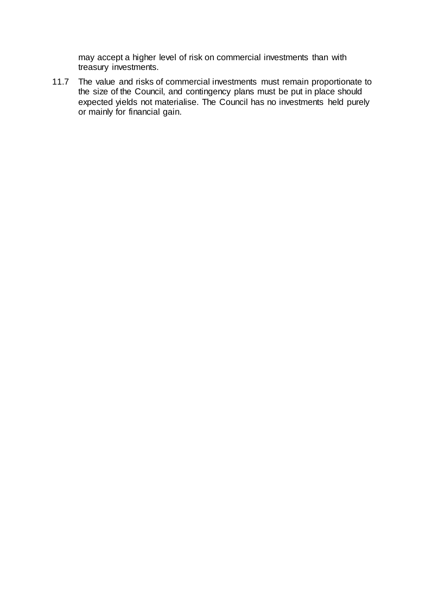may accept a higher level of risk on commercial investments than with treasury investments.

11.7 The value and risks of commercial investments must remain proportionate to the size of the Council, and contingency plans must be put in place should expected yields not materialise. The Council has no investments held purely or mainly for financial gain.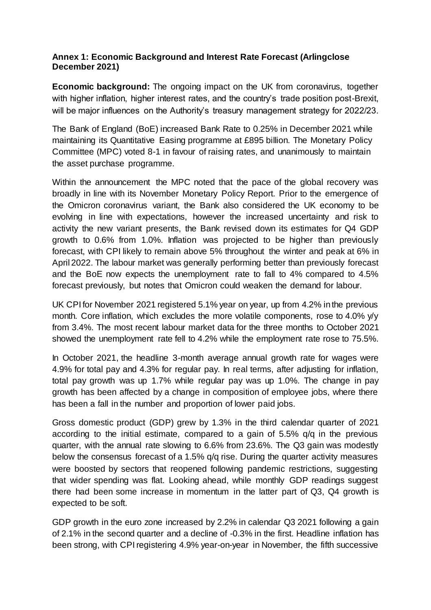### **Annex 1: Economic Background and Interest Rate Forecast (Arlingclose December 2021)**

**Economic background:** The ongoing impact on the UK from coronavirus, together with higher inflation, higher interest rates, and the country's trade position post-Brexit, will be major influences on the Authority's treasury management strategy for 2022/23.

The Bank of England (BoE) increased Bank Rate to 0.25% in December 2021 while maintaining its Quantitative Easing programme at £895 billion. The Monetary Policy Committee (MPC) voted 8-1 in favour of raising rates, and unanimously to maintain the asset purchase programme.

Within the announcement the MPC noted that the pace of the global recovery was broadly in line with its November Monetary Policy Report. Prior to the emergence of the Omicron coronavirus variant, the Bank also considered the UK economy to be evolving in line with expectations, however the increased uncertainty and risk to activity the new variant presents, the Bank revised down its estimates for Q4 GDP growth to 0.6% from 1.0%. Inflation was projected to be higher than previously forecast, with CPI likely to remain above 5% throughout the winter and peak at 6% in April 2022. The labour market was generally performing better than previously forecast and the BoE now expects the unemployment rate to fall to 4% compared to 4.5% forecast previously, but notes that Omicron could weaken the demand for labour.

UK CPI for November 2021 registered 5.1% year on year, up from 4.2% in the previous month. Core inflation, which excludes the more volatile components, rose to 4.0% y/y from 3.4%. The most recent labour market data for the three months to October 2021 showed the unemployment rate fell to 4.2% while the employment rate rose to 75.5%.

In October 2021, the headline 3-month average annual growth rate for wages were 4.9% for total pay and 4.3% for regular pay. In real terms, after adjusting for inflation, total pay growth was up 1.7% while regular pay was up 1.0%. The change in pay growth has been affected by a change in composition of employee jobs, where there has been a fall in the number and proportion of lower paid jobs.

Gross domestic product (GDP) grew by 1.3% in the third calendar quarter of 2021 according to the initial estimate, compared to a gain of 5.5% q/q in the previous quarter, with the annual rate slowing to 6.6% from 23.6%. The Q3 gain was modestly below the consensus forecast of a 1.5% q/q rise. During the quarter activity measures were boosted by sectors that reopened following pandemic restrictions, suggesting that wider spending was flat. Looking ahead, while monthly GDP readings suggest there had been some increase in momentum in the latter part of Q3, Q4 growth is expected to be soft.

GDP growth in the euro zone increased by 2.2% in calendar Q3 2021 following a gain of 2.1% in the second quarter and a decline of -0.3% in the first. Headline inflation has been strong, with CPI registering 4.9% year-on-year in November, the fifth successive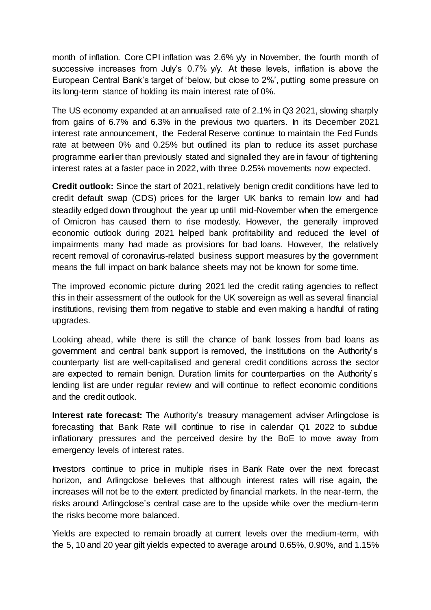month of inflation. Core CPI inflation was 2.6% y/y in November, the fourth month of successive increases from July's 0.7% y/y. At these levels, inflation is above the European Central Bank's target of 'below, but close to 2%', putting some pressure on its long-term stance of holding its main interest rate of 0%.

The US economy expanded at an annualised rate of 2.1% in Q3 2021, slowing sharply from gains of 6.7% and 6.3% in the previous two quarters. In its December 2021 interest rate announcement, the Federal Reserve continue to maintain the Fed Funds rate at between 0% and 0.25% but outlined its plan to reduce its asset purchase programme earlier than previously stated and signalled they are in favour of tightening interest rates at a faster pace in 2022, with three 0.25% movements now expected.

**Credit outlook:** Since the start of 2021, relatively benign credit conditions have led to credit default swap (CDS) prices for the larger UK banks to remain low and had steadily edged down throughout the year up until mid-November when the emergence of Omicron has caused them to rise modestly. However, the generally improved economic outlook during 2021 helped bank profitability and reduced the level of impairments many had made as provisions for bad loans. However, the relatively recent removal of coronavirus-related business support measures by the government means the full impact on bank balance sheets may not be known for some time.

The improved economic picture during 2021 led the credit rating agencies to reflect this in their assessment of the outlook for the UK sovereign as well as several financial institutions, revising them from negative to stable and even making a handful of rating upgrades.

Looking ahead, while there is still the chance of bank losses from bad loans as government and central bank support is removed, the institutions on the Authority's counterparty list are well-capitalised and general credit conditions across the sector are expected to remain benign. Duration limits for counterparties on the Authority's lending list are under regular review and will continue to reflect economic conditions and the credit outlook.

**Interest rate forecast:** The Authority's treasury management adviser Arlingclose is forecasting that Bank Rate will continue to rise in calendar Q1 2022 to subdue inflationary pressures and the perceived desire by the BoE to move away from emergency levels of interest rates.

Investors continue to price in multiple rises in Bank Rate over the next forecast horizon, and Arlingclose believes that although interest rates will rise again, the increases will not be to the extent predicted by financial markets. In the near-term, the risks around Arlingclose's central case are to the upside while over the medium-term the risks become more balanced.

Yields are expected to remain broadly at current levels over the medium-term, with the 5, 10 and 20 year gilt yields expected to average around 0.65%, 0.90%, and 1.15%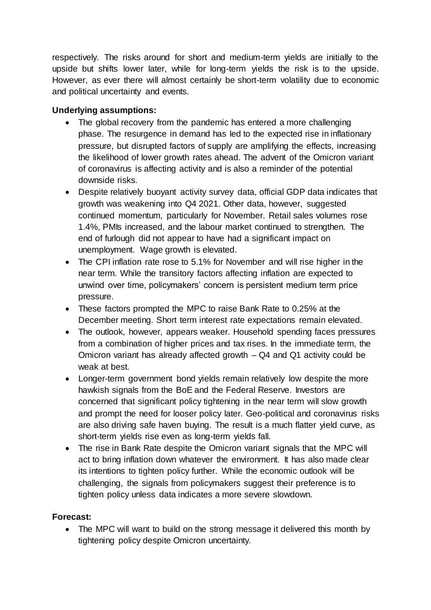respectively. The risks around for short and medium-term yields are initially to the upside but shifts lower later, while for long-term yields the risk is to the upside. However, as ever there will almost certainly be short-term volatility due to economic and political uncertainty and events.

# **Underlying assumptions:**

- The global recovery from the pandemic has entered a more challenging phase. The resurgence in demand has led to the expected rise in inflationary pressure, but disrupted factors of supply are amplifying the effects, increasing the likelihood of lower growth rates ahead. The advent of the Omicron variant of coronavirus is affecting activity and is also a reminder of the potential downside risks.
- Despite relatively buoyant activity survey data, official GDP data indicates that growth was weakening into Q4 2021. Other data, however, suggested continued momentum, particularly for November. Retail sales volumes rose 1.4%, PMIs increased, and the labour market continued to strengthen. The end of furlough did not appear to have had a significant impact on unemployment. Wage growth is elevated.
- The CPI inflation rate rose to 5.1% for November and will rise higher in the near term. While the transitory factors affecting inflation are expected to unwind over time, policymakers' concern is persistent medium term price pressure.
- These factors prompted the MPC to raise Bank Rate to 0.25% at the December meeting. Short term interest rate expectations remain elevated.
- The outlook, however, appears weaker. Household spending faces pressures from a combination of higher prices and tax rises. In the immediate term, the Omicron variant has already affected growth – Q4 and Q1 activity could be weak at best.
- Longer-term government bond yields remain relatively low despite the more hawkish signals from the BoE and the Federal Reserve. Investors are concerned that significant policy tightening in the near term will slow growth and prompt the need for looser policy later. Geo-political and coronavirus risks are also driving safe haven buying. The result is a much flatter yield curve, as short-term yields rise even as long-term yields fall.
- The rise in Bank Rate despite the Omicron variant signals that the MPC will act to bring inflation down whatever the environment. It has also made clear its intentions to tighten policy further. While the economic outlook will be challenging, the signals from policymakers suggest their preference is to tighten policy unless data indicates a more severe slowdown.

# **Forecast:**

• The MPC will want to build on the strong message it delivered this month by tightening policy despite Omicron uncertainty.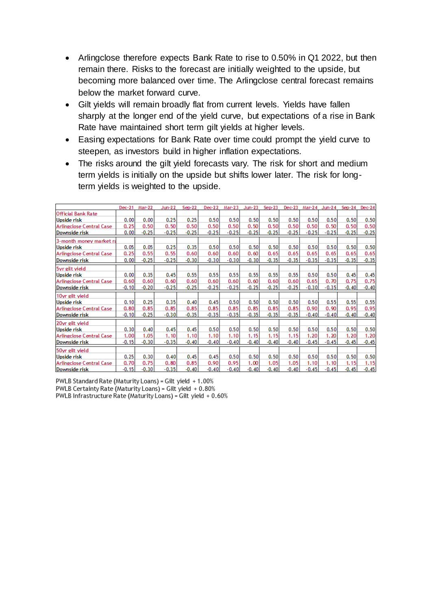- Arlingclose therefore expects Bank Rate to rise to 0.50% in Q1 2022, but then remain there. Risks to the forecast are initially weighted to the upside, but becoming more balanced over time. The Arlingclose central forecast remains below the market forward curve.
- Gilt yields will remain broadly flat from current levels. Yields have fallen sharply at the longer end of the yield curve, but expectations of a rise in Bank Rate have maintained short term gilt yields at higher levels.
- Easing expectations for Bank Rate over time could prompt the yield curve to steepen, as investors build in higher inflation expectations.
- The risks around the gilt yield forecasts vary. The risk for short and medium term yields is initially on the upside but shifts lower later. The risk for longterm yields is weighted to the upside.

|                                 | Dec-21  | Mar-22  | $Jun-22$ | $Sep-22$ | $Dec-22$ | Mar-23  | $Jun-23$ | $Sep-23$ | $Dec-23$ | Mar-24  | $Jun-24$ | $Sep-24$ | $Dec-24$ |
|---------------------------------|---------|---------|----------|----------|----------|---------|----------|----------|----------|---------|----------|----------|----------|
| <b>Official Bank Rate</b>       |         |         |          |          |          |         |          |          |          |         |          |          |          |
| Upside risk                     | 0.00    | 0.00    | 0.25     | 0.25     | 0.50     | 0.50    | 0.50     | 0.50     | 0.50     | 0.50    | 0.50     | 0.50     | 0.50     |
| <b>Arlingclose Central Case</b> | 0.25    | 0.50    | 0.50     | 0.50     | 0.50     | 0.50    | 0.50     | 0.50     | 0.50     | 0.50    | 0.50     | 0.50     | 0.50     |
| Downside risk                   | 0.00    | $-0.25$ | $-0.25$  | $-0.25$  | $-0.25$  | $-0.25$ | $-0.25$  | $-0.25$  | $-0.25$  | $-0.25$ | $-0.25$  | $-0.25$  | $-0.25$  |
| 3-month money market ra         |         |         |          |          |          |         |          |          |          |         |          |          |          |
| Upside risk                     | 0.05    | 0.05    | 0.25     | 0.35     | 0.50     | 0.50    | 0.50     | 0.50     | 0.50     | 0.50    | 0.50     | 0.50     | 0.50     |
| Arlingclose Central Case        | 0.25    | 0.55    | 0.55     | 0.60     | 0.60     | 0.60    | 0.60     | 0.65     | 0.65     | 0.65    | 0.65     | 0.65     | 0.65     |
| Downside risk                   | 0.00    | $-0.25$ | $-0.25$  | $-0.30$  | $-0.30$  | $-0.30$ | $-0.30$  | $-0.35$  | $-0.35$  | $-0.35$ | $-0.35$  | $-0.35$  | $-0.35$  |
| 5yr gilt yield                  |         |         |          |          |          |         |          |          |          |         |          |          |          |
| <b>Upside risk</b>              | 0.00    | 0.35    | 0.45     | 0.55     | 0.55     | 0.55    | 0.55     | 0.55     | 0.55     | 0.50    | 0.50     | 0.45     | 0.45     |
| <b>Arlingclose Central Case</b> | 0.60    | 0.60    | 0.60     | 0.60     | 0.60     | 0.60    | 0.60     | 0.60     | 0.60     | 0.65    | 0.70     | 0.75     | 0.75     |
| Downside risk                   | $-0.10$ | $-0.20$ | $-0.25$  | $-0.25$  | $-0.25$  | $-0.25$ | $-0.25$  | $-0.25$  | $-0.25$  | $-0.30$ | $-0.35$  | $-0.40$  | $-0.40$  |
| 10yr gilt yield                 |         |         |          |          |          |         |          |          |          |         |          |          |          |
| Upside risk                     | 0.10    | 0.25    | 0.35     | 0.40     | 0.45     | 0.50    | 0.50     | 0.50     | 0.50     | 0.50    | 0.55     | 0.55     | 0.55     |
| <b>Arlingclose Central Case</b> | 0.80    | 0.85    | 0.85     | 0.85     | 0.85     | 0.85    | 0.85     | 0.85     | 0.85     | 0.90    | 0.90     | 0.95     | 0.95     |
| Downside risk                   | $-0.10$ | $-0.25$ | $-0.30$  | $-0.35$  | $-0.35$  | $-0.35$ | $-0.35$  | $-0.35$  | $-0.35$  | $-0.40$ | $-0.40$  | $-0.40$  | $-0.40$  |
| 20yr gilt yield                 |         |         |          |          |          |         |          |          |          |         |          |          |          |
| <b>Upside risk</b>              | 0.30    | 0.40    | 0.45     | 0.45     | 0.50     | 0.50    | 0.50     | 0.50     | 0.50     | 0.50    | 0.50     | 0.50     | 0.50     |
| <b>Arlingclose Central Case</b> | 1.00    | 1.05    | 1.10     | 1.10     | 1.10     | 1.10    | 1.15     | 1.15     | 1.15     | 1.20    | 1.20     | 1.20     | 1.20     |
| Downside risk                   | $-0.15$ | $-0.30$ | $-0.35$  | $-0.40$  | $-0.40$  | $-0.40$ | $-0.40$  | $-0.40$  | $-0.40$  | $-0.45$ | $-0.45$  | $-0.45$  | $-0.45$  |
| 50yr gilt yield                 |         |         |          |          |          |         |          |          |          |         |          |          |          |
| <b>Upside risk</b>              | 0.25    | 0.30    | 0.40     | 0.45     | 0.45     | 0.50    | 0.50     | 0.50     | 0.50     | 0.50    | 0.50     | 0.50     | 0.50     |
| <b>Arlingclose Central Case</b> | 0.70    | 0.75    | 0.80     | 0.85     | 0.90     | 0.95    | 1.00     | 1.05     | 1.05     | 1.10    | 1.10     | 1.15     | 1.15     |
| Downside risk                   | $-0.15$ | $-0.30$ | $-0.35$  | $-0.40$  | $-0.40$  | $-0.40$ | $-0.40$  | $-0.40$  | $-0.40$  | $-0.45$ | $-0.45$  | $-0.45$  | $-0.45$  |

PWLB Standard Rate (Maturity Loans) = Gilt yield + 1.00% PWLB Certainty Rate (Maturity Loans) = Gilt yield + 0.80% PWLB Infrastructure Rate (Maturity Loans) = Gilt yield + 0.60%